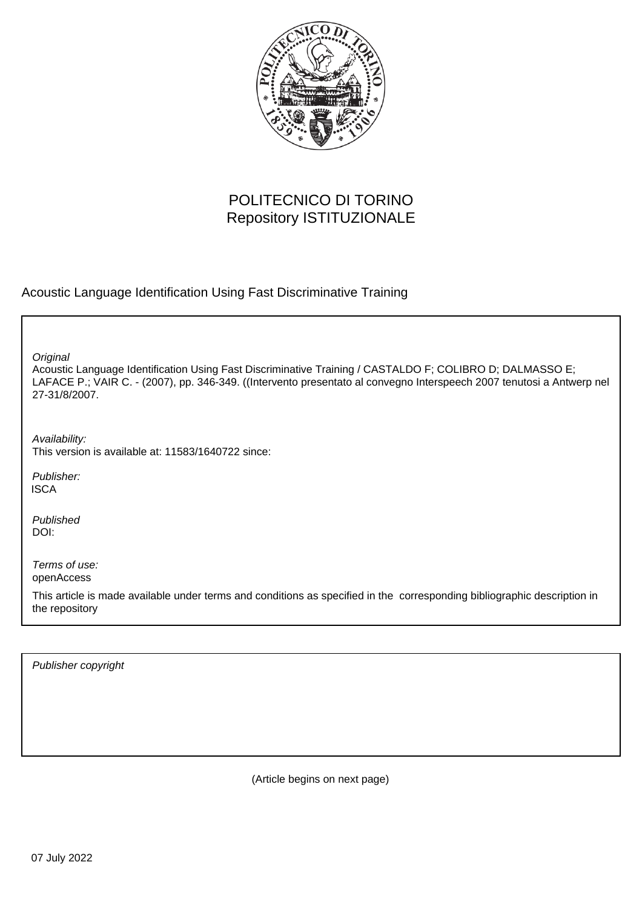

# POLITECNICO DI TORINO Repository ISTITUZIONALE

Acoustic Language Identification Using Fast Discriminative Training

**Original** 

Acoustic Language Identification Using Fast Discriminative Training / CASTALDO F; COLIBRO D; DALMASSO E; LAFACE P.; VAIR C. - (2007), pp. 346-349. ((Intervento presentato al convegno Interspeech 2007 tenutosi a Antwerp nel 27-31/8/2007.

Availability: This version is available at: 11583/1640722 since:

Publisher: **ISCA** 

Published DOI:

Terms of use: openAccess

This article is made available under terms and conditions as specified in the corresponding bibliographic description in the repository

Publisher copyright

(Article begins on next page)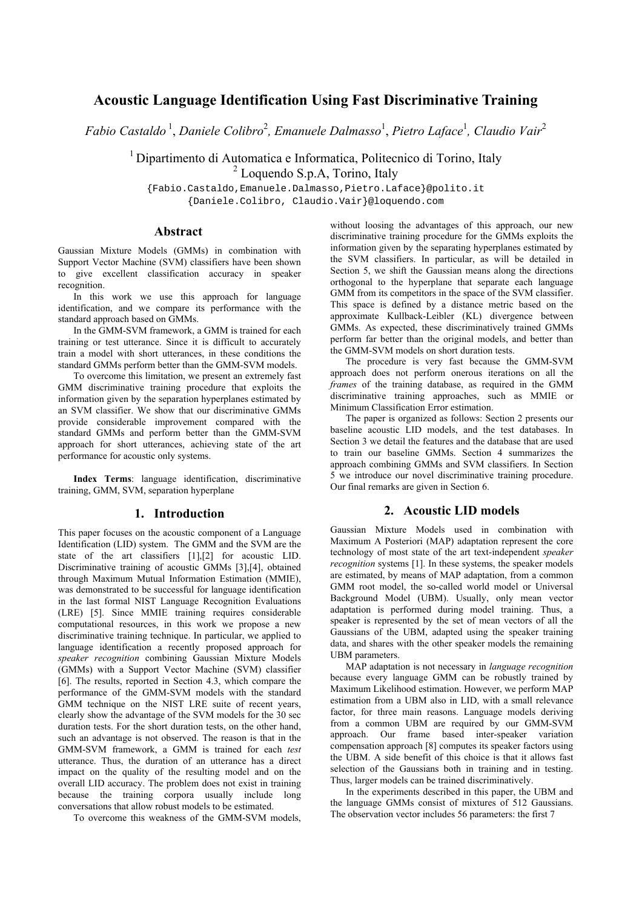# **Acoustic Language Identification Using Fast Discriminative Training**

*Fabio Castaldo* <sup>1</sup> , *Daniele Colibro*<sup>2</sup> *, Emanuele Dalmasso*<sup>1</sup> , *Pietro Laface*<sup>1</sup> *, Claudio Vair*<sup>2</sup>

1 Dipartimento di Automatica e Informatica, Politecnico di Torino, Italy <sup>2</sup> Loquendo S.p.A, Torino, Italy

{Fabio.Castaldo,Emanuele.Dalmasso,Pietro.Laface}@polito.it {Daniele.Colibro, Claudio.Vair}@loquendo.com

# **Abstract**

Gaussian Mixture Models (GMMs) in combination with Support Vector Machine (SVM) classifiers have been shown to give excellent classification accuracy in speaker recognition.

In this work we use this approach for language identification, and we compare its performance with the standard approach based on GMMs.

In the GMM-SVM framework, a GMM is trained for each training or test utterance. Since it is difficult to accurately train a model with short utterances, in these conditions the standard GMMs perform better than the GMM-SVM models.

To overcome this limitation, we present an extremely fast GMM discriminative training procedure that exploits the information given by the separation hyperplanes estimated by an SVM classifier. We show that our discriminative GMMs provide considerable improvement compared with the standard GMMs and perform better than the GMM-SVM approach for short utterances, achieving state of the art performance for acoustic only systems.

**Index Terms**: language identification, discriminative training, GMM, SVM, separation hyperplane

#### **1. Introduction**

This paper focuses on the acoustic component of a Language Identification (LID) system. The GMM and the SVM are the state of the art classifiers [1],[2] for acoustic LID. Discriminative training of acoustic GMMs [3],[4], obtained through Maximum Mutual Information Estimation (MMIE), was demonstrated to be successful for language identification in the last formal NIST Language Recognition Evaluations (LRE) [5]. Since MMIE training requires considerable computational resources, in this work we propose a new discriminative training technique. In particular, we applied to language identification a recently proposed approach for *speaker recognition* combining Gaussian Mixture Models (GMMs) with a Support Vector Machine (SVM) classifier [6]. The results, reported in Section 4.3, which compare the performance of the GMM-SVM models with the standard GMM technique on the NIST LRE suite of recent years, clearly show the advantage of the SVM models for the 30 sec duration tests. For the short duration tests, on the other hand, such an advantage is not observed. The reason is that in the GMM-SVM framework, a GMM is trained for each *test* utterance. Thus, the duration of an utterance has a direct impact on the quality of the resulting model and on the overall LID accuracy. The problem does not exist in training because the training corpora usually include long conversations that allow robust models to be estimated.

To overcome this weakness of the GMM-SVM models,

without loosing the advantages of this approach, our new discriminative training procedure for the GMMs exploits the information given by the separating hyperplanes estimated by the SVM classifiers. In particular, as will be detailed in Section 5, we shift the Gaussian means along the directions orthogonal to the hyperplane that separate each language GMM from its competitors in the space of the SVM classifier. This space is defined by a distance metric based on the approximate Kullback-Leibler (KL) divergence between GMMs. As expected, these discriminatively trained GMMs perform far better than the original models, and better than the GMM-SVM models on short duration tests.

The procedure is very fast because the GMM-SVM approach does not perform onerous iterations on all the *frames* of the training database, as required in the GMM discriminative training approaches, such as MMIE or Minimum Classification Error estimation.

The paper is organized as follows: Section 2 presents our baseline acoustic LID models, and the test databases. In Section 3 we detail the features and the database that are used to train our baseline GMMs. Section 4 summarizes the approach combining GMMs and SVM classifiers. In Section 5 we introduce our novel discriminative training procedure. Our final remarks are given in Section 6.

## **2. Acoustic LID models**

Gaussian Mixture Models used in combination with Maximum A Posteriori (MAP) adaptation represent the core technology of most state of the art text-independent *speaker recognition* systems [1]. In these systems, the speaker models are estimated, by means of MAP adaptation, from a common GMM root model, the so-called world model or Universal Background Model (UBM). Usually, only mean vector adaptation is performed during model training. Thus, a speaker is represented by the set of mean vectors of all the Gaussians of the UBM, adapted using the speaker training data, and shares with the other speaker models the remaining UBM parameters.

MAP adaptation is not necessary in *language recognition* because every language GMM can be robustly trained by Maximum Likelihood estimation. However, we perform MAP estimation from a UBM also in LID, with a small relevance factor, for three main reasons. Language models deriving from a common UBM are required by our GMM-SVM approach. Our frame based inter-speaker variation compensation approach [8] computes its speaker factors using the UBM. A side benefit of this choice is that it allows fast selection of the Gaussians both in training and in testing. Thus, larger models can be trained discriminatively.

In the experiments described in this paper, the UBM and the language GMMs consist of mixtures of 512 Gaussians. The observation vector includes 56 parameters: the first 7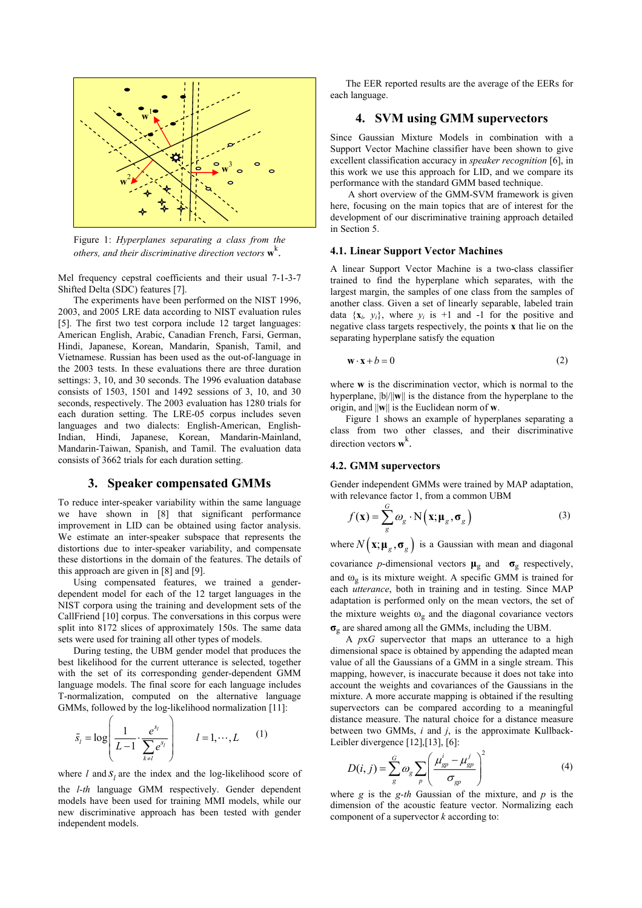

Figure 1: *Hyperplanes separating a class from the others, and their discriminative direction vectors* **w**<sup>k</sup> .

Mel frequency cepstral coefficients and their usual 7-1-3-7 Shifted Delta (SDC) features [7].

The experiments have been performed on the NIST 1996, 2003, and 2005 LRE data according to NIST evaluation rules [5]. The first two test corpora include 12 target languages: American English, Arabic, Canadian French, Farsi, German, Hindi, Japanese, Korean, Mandarin, Spanish, Tamil, and Vietnamese. Russian has been used as the out-of-language in the 2003 tests. In these evaluations there are three duration settings: 3, 10, and 30 seconds. The 1996 evaluation database consists of 1503, 1501 and 1492 sessions of 3, 10, and 30 seconds, respectively. The 2003 evaluation has 1280 trials for each duration setting. The LRE-05 corpus includes seven languages and two dialects: English-American, English-Indian, Hindi, Japanese, Korean, Mandarin-Mainland, Mandarin-Taiwan, Spanish, and Tamil. The evaluation data consists of 3662 trials for each duration setting.

#### **3. Speaker compensated GMMs**

To reduce inter-speaker variability within the same language we have shown in [8] that significant performance improvement in LID can be obtained using factor analysis. We estimate an inter-speaker subspace that represents the distortions due to inter-speaker variability, and compensate these distortions in the domain of the features. The details of this approach are given in [8] and [9].

Using compensated features, we trained a genderdependent model for each of the 12 target languages in the NIST corpora using the training and development sets of the CallFriend [10] corpus. The conversations in this corpus were split into 8172 slices of approximately 150s. The same data sets were used for training all other types of models.

During testing, the UBM gender model that produces the best likelihood for the current utterance is selected, together with the set of its corresponding gender-dependent GMM language models. The final score for each language includes T-normalization, computed on the alternative language GMMs, followed by the log-likelihood normalization [11]:

$$
\tilde{s}_l = \log \left( \frac{1}{L-1} \cdot \frac{e^{s_l}}{\sum_{k \neq l} e^{s_l}} \right) \qquad l = 1, \cdots, L \qquad (1)
$$

where  $l$  and  $S_l$  are the index and the log-likelihood score of the *l-th* language GMM respectively. Gender dependent models have been used for training MMI models, while our new discriminative approach has been tested with gender independent models.

The EER reported results are the average of the EERs for each language.

# **4. SVM using GMM supervectors**

Since Gaussian Mixture Models in combination with a Support Vector Machine classifier have been shown to give excellent classification accuracy in *speaker recognition* [6], in this work we use this approach for LID, and we compare its performance with the standard GMM based technique.

 A short overview of the GMM-SVM framework is given here, focusing on the main topics that are of interest for the development of our discriminative training approach detailed in Section 5.

#### **4.1. Linear Support Vector Machines**

A linear Support Vector Machine is a two-class classifier trained to find the hyperplane which separates, with the largest margin, the samples of one class from the samples of another class. Given a set of linearly separable, labeled train data  $\{x_i, y_i\}$ , where  $y_i$  is  $+1$  and  $-1$  for the positive and negative class targets respectively, the points **x** that lie on the separating hyperplane satisfy the equation

$$
\mathbf{w} \cdot \mathbf{x} + b = 0 \tag{2}
$$

where **w** is the discrimination vector, which is normal to the hyperplane, |b|/||**w**|| is the distance from the hyperplane to the origin, and ||**w**|| is the Euclidean norm of **w**.

Figure 1 shows an example of hyperplanes separating a class from two other classes, and their discriminative direction vectors **w**<sup>k</sup> .

#### **4.2. GMM supervectors**

Gender independent GMMs were trained by MAP adaptation, with relevance factor 1, from a common UBM

$$
f(\mathbf{x}) = \sum_{g}^{G} \omega_{g} \cdot \mathbf{N}(\mathbf{x}; \mathbf{\mu}_{g}, \mathbf{\sigma}_{g})
$$
 (3)

where  $N(\mathbf{x}; \boldsymbol{\mu}_g, \boldsymbol{\sigma}_g)$  is a Gaussian with mean and diagonal

covariance *p*-dimensional vectors  $\mu_{\rm g}$  and  $\sigma_{\rm g}$  respectively, and  $\omega_{\varphi}$  is its mixture weight. A specific GMM is trained for each *utterance*, both in training and in testing. Since MAP adaptation is performed only on the mean vectors, the set of the mixture weights  $\omega_{\rm g}$  and the diagonal covariance vectors **σ**g are shared among all the GMMs, including the UBM.

A *p*x*G* supervector that maps an utterance to a high dimensional space is obtained by appending the adapted mean value of all the Gaussians of a GMM in a single stream. This mapping, however, is inaccurate because it does not take into account the weights and covariances of the Gaussians in the mixture. A more accurate mapping is obtained if the resulting supervectors can be compared according to a meaningful distance measure. The natural choice for a distance measure between two GMMs, *i* and *j*, is the approximate Kullback-Leibler divergence [12], [13], [6]:

$$
D(i,j) = \sum_{g}^{G} \omega_g \sum_{p} \left( \frac{\mu_{gp}^i - \mu_{gp}^j}{\sigma_{gp}} \right)^2
$$
 (4)

where *g* is the *g-th* Gaussian of the mixture, and *p* is the dimension of the acoustic feature vector. Normalizing each component of a supervector *k* according to: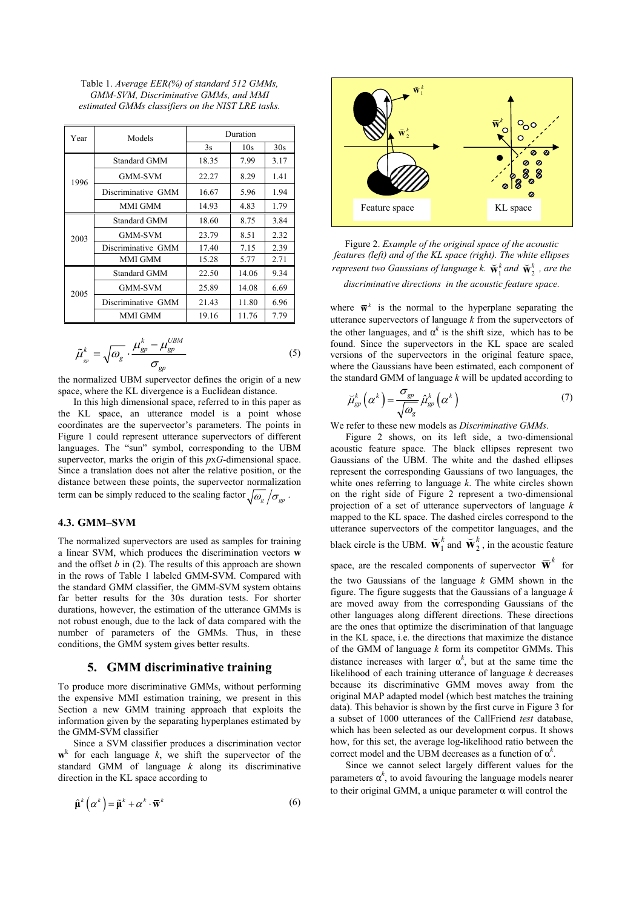Table 1. *Average EER(%) of standard 512 GMMs, GMM-SVM, Discriminative GMMs, and MMI estimated GMMs classifiers on the NIST LRE tasks.* 

| Year | Models              | Duration |       |      |
|------|---------------------|----------|-------|------|
|      |                     | 3s       | 10s   | 30s  |
|      | <b>Standard GMM</b> | 18.35    | 7.99  | 3.17 |
| 1996 | <b>GMM-SVM</b>      | 22.27    | 8.29  | 1.41 |
|      | Discriminative GMM  | 16.67    | 5.96  | 1.94 |
|      | <b>MMI GMM</b>      | 14.93    | 4.83  | 1.79 |
| 2003 | Standard GMM        | 18.60    | 8.75  | 3.84 |
|      | <b>GMM-SVM</b>      | 23.79    | 8.51  | 2.32 |
|      | Discriminative GMM  | 17.40    | 7.15  | 2.39 |
|      | MMI GMM             | 15.28    | 5.77  | 2.71 |
| 2005 | Standard GMM        | 22.50    | 14.06 | 9.34 |
|      | <b>GMM-SVM</b>      | 25.89    | 14.08 | 6.69 |
|      | Discriminative GMM  | 21.43    | 11.80 | 6.96 |
|      | MMI GMM             | 19.16    | 11.76 | 7.79 |

$$
\tilde{\mu}_{_{gp}}^k = \sqrt{\omega_g} \cdot \frac{\mu_{gp}^k - \mu_{gp}^{UBM}}{\sigma_{_{gp}}}
$$
\n(5)

the normalized UBM supervector defines the origin of a new space, where the KL divergence is a Euclidean distance.

In this high dimensional space, referred to in this paper as the KL space, an utterance model is a point whose coordinates are the supervector's parameters. The points in Figure 1 could represent utterance supervectors of different languages. The "sun" symbol, corresponding to the UBM supervector, marks the origin of this *p*x*G*-dimensional space. Since a translation does not alter the relative position, or the distance between these points, the supervector normalization term can be simply reduced to the scaling factor  $\sqrt{\omega_g}/\sigma_{\phi}$ .

#### **4.3. GMM–SVM**

The normalized supervectors are used as samples for training a linear SVM, which produces the discrimination vectors **w** and the offset *b* in (2). The results of this approach are shown in the rows of Table 1 labeled GMM-SVM. Compared with the standard GMM classifier, the GMM-SVM system obtains far better results for the 30s duration tests. For shorter durations, however, the estimation of the utterance GMMs is not robust enough, due to the lack of data compared with the number of parameters of the GMMs. Thus, in these conditions, the GMM system gives better results.

#### **5. GMM discriminative training**

To produce more discriminative GMMs, without performing the expensive MMI estimation training, we present in this Section a new GMM training approach that exploits the information given by the separating hyperplanes estimated by the GMM-SVM classifier

Since a SVM classifier produces a discrimination vector  $\mathbf{w}^k$  for each language  $k$ , we shift the supervector of the standard GMM of language *k* along its discriminative direction in the KL space according to

$$
\hat{\mu}^{k}\left(\alpha^{k}\right) = \tilde{\mu}^{k} + \alpha^{k} \cdot \overline{\mathbf{w}}^{k} \tag{6}
$$



Figure 2. *Example of the original space of the acoustic features (left) and of the KL space (right). The white ellipses represent two Gaussians of language k.*  $\mathbf{\tilde{w}}_1^k$  *and*  $\mathbf{\tilde{w}}_2^k$  *, are the* 

*discriminative directions in the acoustic feature space.*

where  $\bar{\mathbf{w}}^k$  is the normal to the hyperplane separating the utterance supervectors of language *k* from the supervectors of the other languages, and  $\alpha^k$  is the shift size, which has to be found. Since the supervectors in the KL space are scaled versions of the supervectors in the original feature space, where the Gaussians have been estimated, each component of the standard GMM of language *k* will be updated according to

$$
\breve{\mu}_{gp}^k\left(\alpha^k\right) = \frac{\sigma_{gp}}{\sqrt{\omega_g}} \hat{\mu}_{gp}^k\left(\alpha^k\right) \tag{7}
$$

We refer to these new models as *Discriminative GMMs*.

Figure 2 shows, on its left side, a two-dimensional acoustic feature space. The black ellipses represent two Gaussians of the UBM. The white and the dashed ellipses represent the corresponding Gaussians of two languages, the white ones referring to language *k*. The white circles shown on the right side of Figure 2 represent a two-dimensional projection of a set of utterance supervectors of language *k* mapped to the KL space. The dashed circles correspond to the utterance supervectors of the competitor languages, and the black circle is the UBM.  $\overline{W}_1^k$  and  $\overline{W}_2^k$ , in the acoustic feature

space, are the rescaled components of supervector  $\overline{\mathbf{W}}^k$  for the two Gaussians of the language *k* GMM shown in the figure. The figure suggests that the Gaussians of a language *k* are moved away from the corresponding Gaussians of the other languages along different directions. These directions are the ones that optimize the discrimination of that language in the KL space, i.e. the directions that maximize the distance of the GMM of language *k* form its competitor GMMs. This distance increases with larger  $\alpha^k$ , but at the same time the likelihood of each training utterance of language *k* decreases because its discriminative GMM moves away from the original MAP adapted model (which best matches the training data). This behavior is shown by the first curve in Figure 3 for a subset of 1000 utterances of the CallFriend *test* database, which has been selected as our development corpus. It shows how, for this set, the average log-likelihood ratio between the correct model and the UBM decreases as a function of  $\alpha^k$ .

Since we cannot select largely different values for the parameters  $\alpha^k$ , to avoid favouring the language models nearer to their original GMM, a unique parameter α will control the